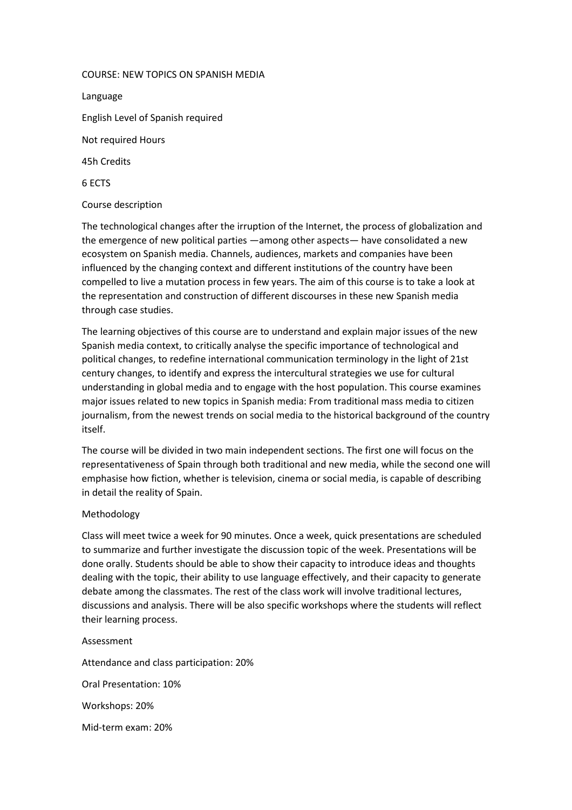## COURSE: NEW TOPICS ON SPANISH MEDIA

Language English Level of Spanish required Not required Hours 45h Credits 6 ECTS

## Course description

The technological changes after the irruption of the Internet, the process of globalization and the emergence of new political parties —among other aspects— have consolidated a new ecosystem on Spanish media. Channels, audiences, markets and companies have been influenced by the changing context and different institutions of the country have been compelled to live a mutation process in few years. The aim of this course is to take a look at the representation and construction of different discourses in these new Spanish media through case studies.

The learning objectives of this course are to understand and explain major issues of the new Spanish media context, to critically analyse the specific importance of technological and political changes, to redefine international communication terminology in the light of 21st century changes, to identify and express the intercultural strategies we use for cultural understanding in global media and to engage with the host population. This course examines major issues related to new topics in Spanish media: From traditional mass media to citizen journalism, from the newest trends on social media to the historical background of the country itself.

The course will be divided in two main independent sections. The first one will focus on the representativeness of Spain through both traditional and new media, while the second one will emphasise how fiction, whether is television, cinema or social media, is capable of describing in detail the reality of Spain.

## Methodology

Class will meet twice a week for 90 minutes. Once a week, quick presentations are scheduled to summarize and further investigate the discussion topic of the week. Presentations will be done orally. Students should be able to show their capacity to introduce ideas and thoughts dealing with the topic, their ability to use language effectively, and their capacity to generate debate among the classmates. The rest of the class work will involve traditional lectures, discussions and analysis. There will be also specific workshops where the students will reflect their learning process.

Assessment Attendance and class participation: 20% Oral Presentation: 10% Workshops: 20%

Mid-term exam: 20%